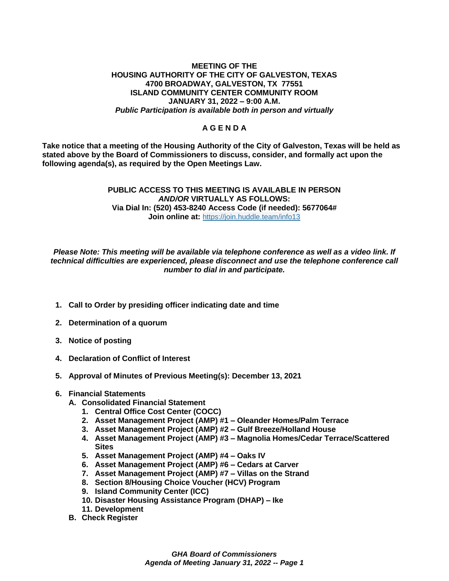#### **MEETING OF THE HOUSING AUTHORITY OF THE CITY OF GALVESTON, TEXAS 4700 BROADWAY, GALVESTON, TX 77551 ISLAND COMMUNITY CENTER COMMUNITY ROOM JANUARY 31, 2022 – 9:00 A.M.** *Public Participation is available both in person and virtually*

# **A G E N D A**

**Take notice that a meeting of the Housing Authority of the City of Galveston, Texas will be held as stated above by the Board of Commissioners to discuss, consider, and formally act upon the following agenda(s), as required by the Open Meetings Law.** 

# **PUBLIC ACCESS TO THIS MEETING IS AVAILABLE IN PERSON**  *AND/OR* **VIRTUALLY AS FOLLOWS: Via Dial In: (520) 453-8240 Access Code (if needed): 5677064# Join online at: <https://join.huddle.team/info13>**

*Please Note: This meeting will be available via telephone conference as well as a video link. If technical difficulties are experienced, please disconnect and use the telephone conference call number to dial in and participate.*

- **1. Call to Order by presiding officer indicating date and time**
- **2. Determination of a quorum**
- **3. Notice of posting**
- **4. Declaration of Conflict of Interest**
- **5. Approval of Minutes of Previous Meeting(s): December 13, 2021**

# **6. Financial Statements**

- **A. Consolidated Financial Statement**
	- **1. Central Office Cost Center (COCC)**
	- **2. Asset Management Project (AMP) #1 – Oleander Homes/Palm Terrace**
	- **3. Asset Management Project (AMP) #2 – Gulf Breeze/Holland House**
	- **4. Asset Management Project (AMP) #3 – Magnolia Homes/Cedar Terrace/Scattered Sites**
	- **5. Asset Management Project (AMP) #4 – Oaks IV**
	- **6. Asset Management Project (AMP) #6 – Cedars at Carver**
	- **7. Asset Management Project (AMP) #7 – Villas on the Strand**
	- **8. Section 8/Housing Choice Voucher (HCV) Program**
	- **9. Island Community Center (ICC)**
	- **10. Disaster Housing Assistance Program (DHAP) – Ike**
	- **11. Development**
- **B. Check Register**